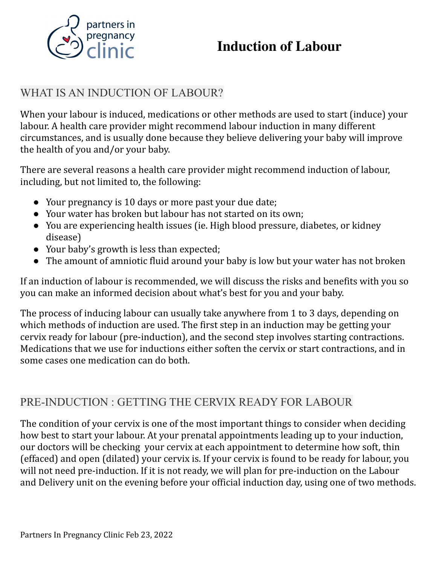

# **Induction of Labour**

## WHAT IS AN INDUCTION OF LABOUR?

When your labour is induced, medications or other methods are used to start (induce) your labour. A health care provider might recommend labour induction in many different circumstances, and is usually done because they believe delivering your baby will improve the health of you and/or your baby.

There are several reasons a health care provider might recommend induction of labour, including, but not limited to, the following:

- Your pregnancy is 10 days or more past your due date;
- Your water has broken but labour has not started on its own;
- You are experiencing health issues (ie. High blood pressure, diabetes, or kidney disease)
- Your baby's growth is less than expected;
- The amount of amniotic fluid around your baby is low but your water has not broken

If an induction of labour is recommended, we will discuss the risks and benefits with you so you can make an informed decision about what's best for you and your baby.

The process of inducing labour can usually take anywhere from 1 to 3 days, depending on which methods of induction are used. The first step in an induction may be getting your cervix ready for labour (pre-induction), and the second step involves starting contractions. Medications that we use for inductions either soften the cervix or start contractions, and in some cases one medication can do both.

## PRE-INDUCTION : GETTING THE CERVIX READY FOR LABOUR

The condition of your cervix is one of the most important things to consider when deciding how best to start your labour. At your prenatal appointments leading up to your induction, our doctors will be checking your cervix at each appointment to determine how soft, thin (effaced) and open (dilated) your cervix is. If your cervix is found to be ready for labour, you will not need pre-induction. If it is not ready, we will plan for pre-induction on the Labour and Delivery unit on the evening before your official induction day, using one of two methods.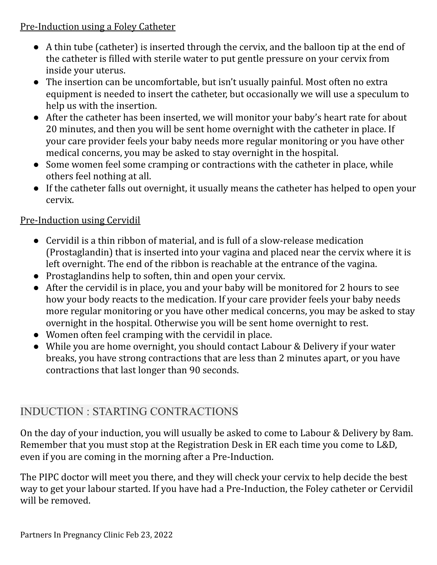### Pre-Induction using a Foley Catheter

- A thin tube (catheter) is inserted through the cervix, and the balloon tip at the end of the catheter is filled with sterile water to put gentle pressure on your cervix from inside your uterus.
- The insertion can be uncomfortable, but isn't usually painful. Most often no extra equipment is needed to insert the catheter, but occasionally we will use a speculum to help us with the insertion.
- After the catheter has been inserted, we will monitor your baby's heart rate for about 20 minutes, and then you will be sent home overnight with the catheter in place. If your care provider feels your baby needs more regular monitoring or you have other medical concerns, you may be asked to stay overnight in the hospital.
- Some women feel some cramping or contractions with the catheter in place, while others feel nothing at all.
- If the catheter falls out overnight, it usually means the catheter has helped to open your cervix.

### Pre-Induction using Cervidil

- Cervidil is a thin ribbon of material, and is full of a slow-release medication (Prostaglandin) that is inserted into your vagina and placed near the cervix where it is left overnight. The end of the ribbon is reachable at the entrance of the vagina.
- Prostaglandins help to soften, thin and open your cervix.
- After the cervidil is in place, you and your baby will be monitored for 2 hours to see how your body reacts to the medication. If your care provider feels your baby needs more regular monitoring or you have other medical concerns, you may be asked to stay overnight in the hospital. Otherwise you will be sent home overnight to rest.
- Women often feel cramping with the cervidil in place.
- While you are home overnight, you should contact Labour & Delivery if your water breaks, you have strong contractions that are less than 2 minutes apart, or you have contractions that last longer than 90 seconds.

# INDUCTION : STARTING CONTRACTIONS

On the day of your induction, you will usually be asked to come to Labour & Delivery by 8am. Remember that you must stop at the Registration Desk in ER each time you come to L&D, even if you are coming in the morning after a Pre-Induction.

The PIPC doctor will meet you there, and they will check your cervix to help decide the best way to get your labour started. If you have had a Pre-Induction, the Foley catheter or Cervidil will be removed.